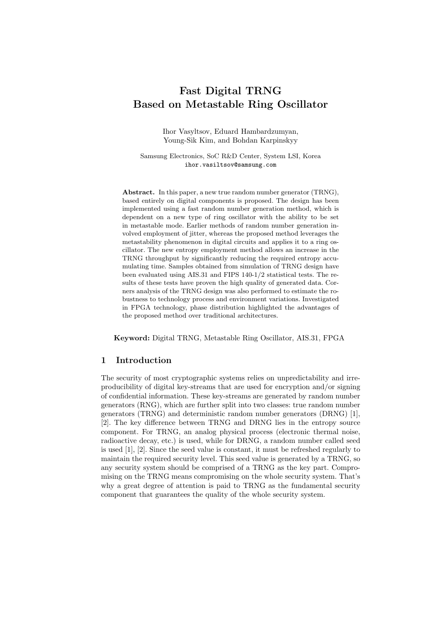# Fast Digital TRNG Based on Metastable Ring Oscillator

Ihor Vasyltsov, Eduard Hambardzumyan, Young-Sik Kim, and Bohdan Karpinskyy

Samsung Electronics, SoC R&D Center, System LSI, Korea ihor.vasiltsov@samsung.com

Abstract. In this paper, a new true random number generator (TRNG), based entirely on digital components is proposed. The design has been implemented using a fast random number generation method, which is dependent on a new type of ring oscillator with the ability to be set in metastable mode. Earlier methods of random number generation involved employment of jitter, whereas the proposed method leverages the metastability phenomenon in digital circuits and applies it to a ring oscillator. The new entropy employment method allows an increase in the TRNG throughput by significantly reducing the required entropy accumulating time. Samples obtained from simulation of TRNG design have been evaluated using AIS.31 and FIPS 140-1/2 statistical tests. The results of these tests have proven the high quality of generated data. Corners analysis of the TRNG design was also performed to estimate the robustness to technology process and environment variations. Investigated in FPGA technology, phase distribution highlighted the advantages of the proposed method over traditional architectures.

Keyword: Digital TRNG, Metastable Ring Oscillator, AIS.31, FPGA

## 1 Introduction

The security of most cryptographic systems relies on unpredictability and irreproducibility of digital key-streams that are used for encryption and/or signing of confidential information. These key-streams are generated by random number generators (RNG), which are further split into two classes: true random number generators (TRNG) and deterministic random number generators (DRNG) [1], [2]. The key difference between TRNG and DRNG lies in the entropy source component. For TRNG, an analog physical process (electronic thermal noise, radioactive decay, etc.) is used, while for DRNG, a random number called seed is used [1], [2]. Since the seed value is constant, it must be refreshed regularly to maintain the required security level. This seed value is generated by a TRNG, so any security system should be comprised of a TRNG as the key part. Compromising on the TRNG means compromising on the whole security system. That's why a great degree of attention is paid to TRNG as the fundamental security component that guarantees the quality of the whole security system.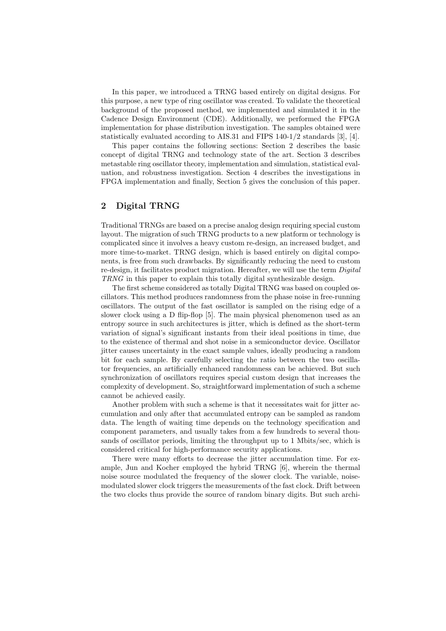In this paper, we introduced a TRNG based entirely on digital designs. For this purpose, a new type of ring oscillator was created. To validate the theoretical background of the proposed method, we implemented and simulated it in the Cadence Design Environment (CDE). Additionally, we performed the FPGA implementation for phase distribution investigation. The samples obtained were statistically evaluated according to AIS.31 and FIPS 140-1/2 standards [3], [4].

This paper contains the following sections: Section 2 describes the basic concept of digital TRNG and technology state of the art. Section 3 describes metastable ring oscillator theory, implementation and simulation, statistical evaluation, and robustness investigation. Section 4 describes the investigations in FPGA implementation and finally, Section 5 gives the conclusion of this paper.

## 2 Digital TRNG

Traditional TRNGs are based on a precise analog design requiring special custom layout. The migration of such TRNG products to a new platform or technology is complicated since it involves a heavy custom re-design, an increased budget, and more time-to-market. TRNG design, which is based entirely on digital components, is free from such drawbacks. By significantly reducing the need to custom re-design, it facilitates product migration. Hereafter, we will use the term Digital TRNG in this paper to explain this totally digital synthesizable design.

The first scheme considered as totally Digital TRNG was based on coupled oscillators. This method produces randomness from the phase noise in free-running oscillators. The output of the fast oscillator is sampled on the rising edge of a slower clock using a D flip-flop [5]. The main physical phenomenon used as an entropy source in such architectures is jitter, which is defined as the short-term variation of signal's significant instants from their ideal positions in time, due to the existence of thermal and shot noise in a semiconductor device. Oscillator jitter causes uncertainty in the exact sample values, ideally producing a random bit for each sample. By carefully selecting the ratio between the two oscillator frequencies, an artificially enhanced randomness can be achieved. But such synchronization of oscillators requires special custom design that increases the complexity of development. So, straightforward implementation of such a scheme cannot be achieved easily.

Another problem with such a scheme is that it necessitates wait for jitter accumulation and only after that accumulated entropy can be sampled as random data. The length of waiting time depends on the technology specification and component parameters, and usually takes from a few hundreds to several thousands of oscillator periods, limiting the throughput up to 1 Mbits/sec, which is considered critical for high-performance security applications.

There were many efforts to decrease the jitter accumulation time. For example, Jun and Kocher employed the hybrid TRNG [6], wherein the thermal noise source modulated the frequency of the slower clock. The variable, noisemodulated slower clock triggers the measurements of the fast clock. Drift between the two clocks thus provide the source of random binary digits. But such archi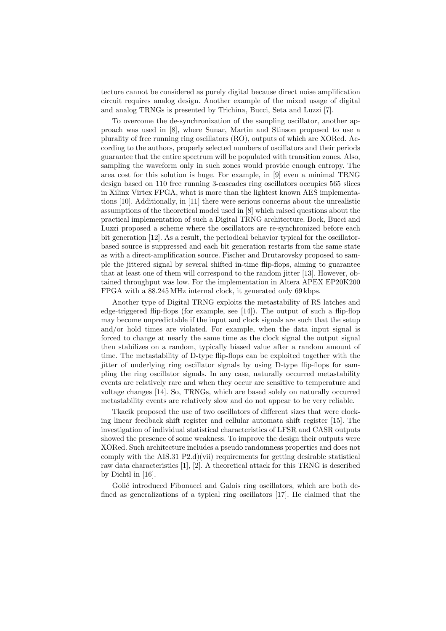tecture cannot be considered as purely digital because direct noise amplification circuit requires analog design. Another example of the mixed usage of digital and analog TRNGs is presented by Trichina, Bucci, Seta and Luzzi [7].

To overcome the de-synchronization of the sampling oscillator, another approach was used in [8], where Sunar, Martin and Stinson proposed to use a plurality of free running ring oscillators (RO), outputs of which are XORed. According to the authors, properly selected numbers of oscillators and their periods guarantee that the entire spectrum will be populated with transition zones. Also, sampling the waveform only in such zones would provide enough entropy. The area cost for this solution is huge. For example, in [9] even a minimal TRNG design based on 110 free running 3-cascades ring oscillators occupies 565 slices in Xilinx Virtex FPGA, what is more than the lightest known AES implementations [10]. Additionally, in [11] there were serious concerns about the unrealistic assumptions of the theoretical model used in [8] which raised questions about the practical implementation of such a Digital TRNG architecture. Bock, Bucci and Luzzi proposed a scheme where the oscillators are re-synchronized before each bit generation [12]. As a result, the periodical behavior typical for the oscillatorbased source is suppressed and each bit generation restarts from the same state as with a direct-amplification source. Fischer and Drutarovsky proposed to sample the jittered signal by several shifted in-time flip-flops, aiming to guarantee that at least one of them will correspond to the random jitter [13]. However, obtained throughput was low. For the implementation in Altera APEX EP20K200 FPGA with a 88.245 MHz internal clock, it generated only 69 kbps.

Another type of Digital TRNG exploits the metastability of RS latches and edge-triggered flip-flops (for example, see [14]). The output of such a flip-flop may become unpredictable if the input and clock signals are such that the setup and/or hold times are violated. For example, when the data input signal is forced to change at nearly the same time as the clock signal the output signal then stabilizes on a random, typically biased value after a random amount of time. The metastability of D-type flip-flops can be exploited together with the jitter of underlying ring oscillator signals by using D-type flip-flops for sampling the ring oscillator signals. In any case, naturally occurred metastability events are relatively rare and when they occur are sensitive to temperature and voltage changes [14]. So, TRNGs, which are based solely on naturally occurred metastability events are relatively slow and do not appear to be very reliable.

Tkacik proposed the use of two oscillators of different sizes that were clocking linear feedback shift register and cellular automata shift register [15]. The investigation of individual statistical characteristics of LFSR and CASR outputs showed the presence of some weakness. To improve the design their outputs were XORed. Such architecture includes a pseudo randomness properties and does not comply with the AIS.31 P2.d)(vii) requirements for getting desirable statistical raw data characteristics [1], [2]. A theoretical attack for this TRNG is described by Dichtl in [16].

Golić introduced Fibonacci and Galois ring oscillators, which are both defined as generalizations of a typical ring oscillators [17]. He claimed that the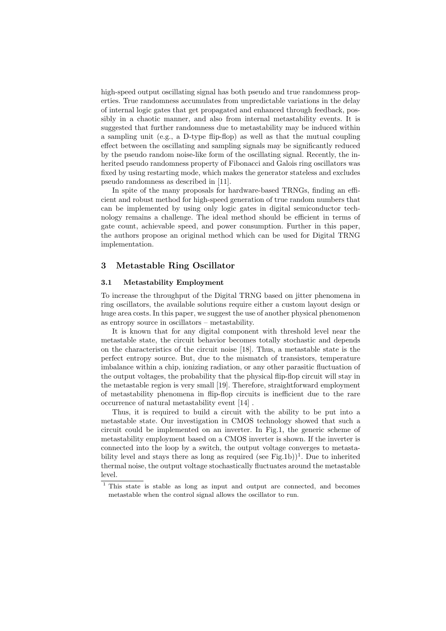high-speed output oscillating signal has both pseudo and true randomness properties. True randomness accumulates from unpredictable variations in the delay of internal logic gates that get propagated and enhanced through feedback, possibly in a chaotic manner, and also from internal metastability events. It is suggested that further randomness due to metastability may be induced within a sampling unit (e.g., a D-type flip-flop) as well as that the mutual coupling effect between the oscillating and sampling signals may be significantly reduced by the pseudo random noise-like form of the oscillating signal. Recently, the inherited pseudo randomness property of Fibonacci and Galois ring oscillators was fixed by using restarting mode, which makes the generator stateless and excludes pseudo randomness as described in [11].

In spite of the many proposals for hardware-based TRNGs, finding an efficient and robust method for high-speed generation of true random numbers that can be implemented by using only logic gates in digital semiconductor technology remains a challenge. The ideal method should be efficient in terms of gate count, achievable speed, and power consumption. Further in this paper, the authors propose an original method which can be used for Digital TRNG implementation.

## 3 Metastable Ring Oscillator

## 3.1 Metastability Employment

To increase the throughput of the Digital TRNG based on jitter phenomena in ring oscillators, the available solutions require either a custom layout design or huge area costs. In this paper, we suggest the use of another physical phenomenon as entropy source in oscillators – metastability.

It is known that for any digital component with threshold level near the metastable state, the circuit behavior becomes totally stochastic and depends on the characteristics of the circuit noise [18]. Thus, a metastable state is the perfect entropy source. But, due to the mismatch of transistors, temperature imbalance within a chip, ionizing radiation, or any other parasitic fluctuation of the output voltages, the probability that the physical flip-flop circuit will stay in the metastable region is very small [19]. Therefore, straightforward employment of metastability phenomena in flip-flop circuits is inefficient due to the rare occurrence of natural metastability event [14] .

Thus, it is required to build a circuit with the ability to be put into a metastable state. Our investigation in CMOS technology showed that such a circuit could be implemented on an inverter. In Fig.1, the generic scheme of metastability employment based on a CMOS inverter is shown. If the inverter is connected into the loop by a switch, the output voltage converges to metastability level and stays there as long as required (see Fig.1b))<sup>1</sup>. Due to inherited thermal noise, the output voltage stochastically fluctuates around the metastable level.

<sup>1</sup> This state is stable as long as input and output are connected, and becomes metastable when the control signal allows the oscillator to run.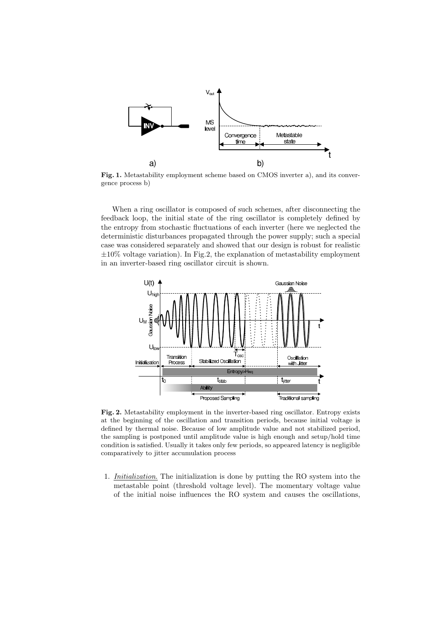

Fig. 1. Metastability employment scheme based on CMOS inverter a), and its convergence process b)

When a ring oscillator is composed of such schemes, after disconnecting the feedback loop, the initial state of the ring oscillator is completely defined by the entropy from stochastic fluctuations of each inverter (here we neglected the deterministic disturbances propagated through the power supply; such a special case was considered separately and showed that our design is robust for realistic  $\pm 10\%$  voltage variation). In Fig.2, the explanation of metastability employment in an inverter-based ring oscillator circuit is shown.



Fig. 2. Metastability employment in the inverter-based ring oscillator. Entropy exists at the beginning of the oscillation and transition periods, because initial voltage is defined by thermal noise. Because of low amplitude value and not stabilized period, the sampling is postponed until amplitude value is high enough and setup/hold time condition is satisfied. Usually it takes only few periods, so appeared latency is negligible comparatively to jitter accumulation process

1. *Initialization*. The initialization is done by putting the RO system into the metastable point (threshold voltage level). The momentary voltage value of the initial noise influences the RO system and causes the oscillations,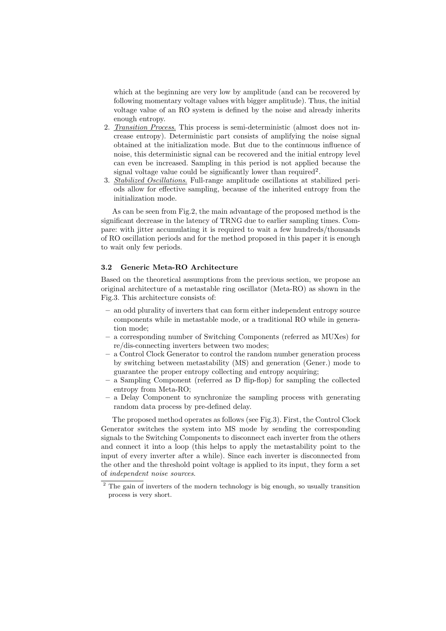which at the beginning are very low by amplitude (and can be recovered by following momentary voltage values with bigger amplitude). Thus, the initial voltage value of an RO system is defined by the noise and already inherits enough entropy.

- 2. Transition Process. This process is semi-deterministic (almost does not increase entropy). Deterministic part consists of amplifying the noise signal obtained at the initialization mode. But due to the continuous influence of noise, this deterministic signal can be recovered and the initial entropy level can even be increased. Sampling in this period is not applied because the signal voltage value could be significantly lower than required<sup>2</sup>.
- 3. Stabilized Oscillations. Full-range amplitude oscillations at stabilized periods allow for effective sampling, because of the inherited entropy from the initialization mode.

As can be seen from Fig.2, the main advantage of the proposed method is the significant decrease in the latency of TRNG due to earlier sampling times. Compare: with jitter accumulating it is required to wait a few hundreds/thousands of RO oscillation periods and for the method proposed in this paper it is enough to wait only few periods.

## 3.2 Generic Meta-RO Architecture

Based on the theoretical assumptions from the previous section, we propose an original architecture of a metastable ring oscillator (Meta-RO) as shown in the Fig.3. This architecture consists of:

- an odd plurality of inverters that can form either independent entropy source components while in metastable mode, or a traditional RO while in generation mode;
- a corresponding number of Switching Components (referred as MUXes) for re/dis-connecting inverters between two modes;
- a Control Clock Generator to control the random number generation process by switching between metastability (MS) and generation (Gener.) mode to guarantee the proper entropy collecting and entropy acquiring;
- a Sampling Component (referred as D flip-flop) for sampling the collected entropy from Meta-RO;
- a Delay Component to synchronize the sampling process with generating random data process by pre-defined delay.

The proposed method operates as follows (see Fig.3). First, the Control Clock Generator switches the system into MS mode by sending the corresponding signals to the Switching Components to disconnect each inverter from the others and connect it into a loop (this helps to apply the metastability point to the input of every inverter after a while). Since each inverter is disconnected from the other and the threshold point voltage is applied to its input, they form a set of independent noise sources.

<sup>&</sup>lt;sup>2</sup> The gain of inverters of the modern technology is big enough, so usually transition process is very short.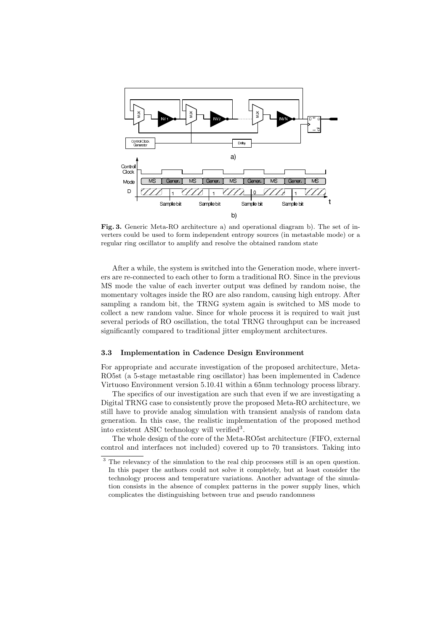

Fig. 3. Generic Meta-RO architecture a) and operational diagram b). The set of inverters could be used to form independent entropy sources (in metastable mode) or a regular ring oscillator to amplify and resolve the obtained random state

After a while, the system is switched into the Generation mode, where inverters are re-connected to each other to form a traditional RO. Since in the previous MS mode the value of each inverter output was defined by random noise, the momentary voltages inside the RO are also random, causing high entropy. After sampling a random bit, the TRNG system again is switched to MS mode to collect a new random value. Since for whole process it is required to wait just several periods of RO oscillation, the total TRNG throughput can be increased significantly compared to traditional jitter employment architectures.

### 3.3 Implementation in Cadence Design Environment

For appropriate and accurate investigation of the proposed architecture, Meta-RO5st (a 5-stage metastable ring oscillator) has been implemented in Cadence Virtuoso Environment version 5.10.41 within a 65nm technology process library.

The specifics of our investigation are such that even if we are investigating a Digital TRNG case to consistently prove the proposed Meta-RO architecture, we still have to provide analog simulation with transient analysis of random data generation. In this case, the realistic implementation of the proposed method into existent ASIC technology will verified<sup>3</sup>.

The whole design of the core of the Meta-RO5st architecture (FIFO, external control and interfaces not included) covered up to 70 transistors. Taking into

<sup>3</sup> The relevancy of the simulation to the real chip processes still is an open question. In this paper the authors could not solve it completely, but at least consider the technology process and temperature variations. Another advantage of the simulation consists in the absence of complex patterns in the power supply lines, which complicates the distinguishing between true and pseudo randomness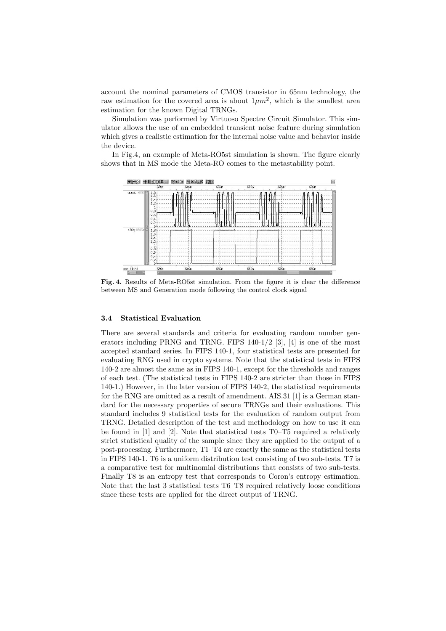account the nominal parameters of CMOS transistor in 65nm technology, the raw estimation for the covered area is about  $1\mu m^2$ , which is the smallest area estimation for the known Digital TRNGs.

Simulation was performed by Virtuoso Spectre Circuit Simulator. This simulator allows the use of an embedded transient noise feature during simulation which gives a realistic estimation for the internal noise value and behavior inside the device.

In Fig.4, an example of Meta-RO5st simulation is shown. The figure clearly shows that in MS mode the Meta-RO comes to the metastability point.



Fig. 4. Results of Meta-RO5st simulation. From the figure it is clear the difference between MS and Generation mode following the control clock signal

### 3.4 Statistical Evaluation

There are several standards and criteria for evaluating random number generators including PRNG and TRNG. FIPS 140-1/2 [3], [4] is one of the most accepted standard series. In FIPS 140-1, four statistical tests are presented for evaluating RNG used in crypto systems. Note that the statistical tests in FIPS 140-2 are almost the same as in FIPS 140-1, except for the thresholds and ranges of each test. (The statistical tests in FIPS 140-2 are stricter than those in FIPS 140-1.) However, in the later version of FIPS 140-2, the statistical requirements for the RNG are omitted as a result of amendment. AIS.31 [1] is a German standard for the necessary properties of secure TRNGs and their evaluations. This standard includes 9 statistical tests for the evaluation of random output from TRNG. Detailed description of the test and methodology on how to use it can be found in [1] and [2]. Note that statistical tests T0–T5 required a relatively strict statistical quality of the sample since they are applied to the output of a post-processing. Furthermore, T1–T4 are exactly the same as the statistical tests in FIPS 140-1. T6 is a uniform distribution test consisting of two sub-tests. T7 is a comparative test for multinomial distributions that consists of two sub-tests. Finally T8 is an entropy test that corresponds to Coron's entropy estimation. Note that the last 3 statistical tests  $T6-T8$  required relatively loose conditions since these tests are applied for the direct output of TRNG.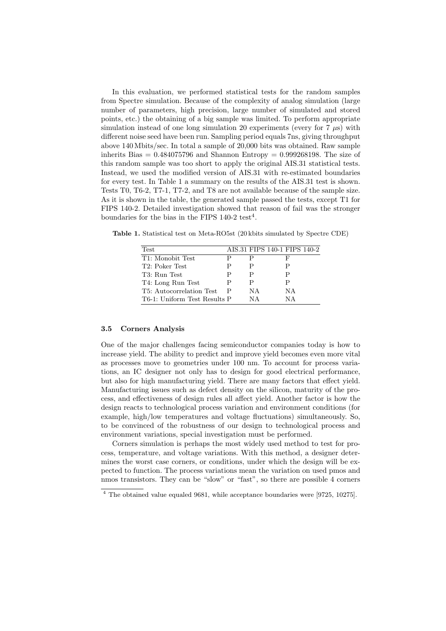In this evaluation, we performed statistical tests for the random samples from Spectre simulation. Because of the complexity of analog simulation (large number of parameters, high precision, large number of simulated and stored points, etc.) the obtaining of a big sample was limited. To perform appropriate simulation instead of one long simulation 20 experiments (every for 7  $\mu$ s) with different noise seed have been run. Sampling period equals 7ns, giving throughput above 140 Mbits/sec. In total a sample of 20,000 bits was obtained. Raw sample inherits Bias  $= 0.484075796$  and Shannon Entropy  $= 0.999268198$ . The size of this random sample was too short to apply the original AIS.31 statistical tests. Instead, we used the modified version of AIS.31 with re-estimated boundaries for every test. In Table 1 a summary on the results of the AIS.31 test is shown. Tests T0, T6-2, T7-1, T7-2, and T8 are not available because of the sample size. As it is shown in the table, the generated sample passed the tests, except T1 for FIPS 140-2. Detailed investigation showed that reason of fail was the stronger boundaries for the bias in the FIPS 140-2 test<sup>4</sup>.

Table 1. Statistical test on Meta-RO5st (20 kbits simulated by Spectre CDE)

| <b>Test</b>                    | AIS.31 FIPS 140-1 FIPS 140-2 |     |
|--------------------------------|------------------------------|-----|
| T1: Monobit Test               |                              | н,  |
| T2: Poker Test                 |                              |     |
| T3: Run Test                   |                              |     |
| T <sub>4</sub> : Long Run Test | Р                            |     |
| T5: Autocorrelation Test       | ΝA                           | N A |
| T6-1: Uniform Test Results P   | NА                           | ΝA  |
|                                |                              |     |

#### 3.5 Corners Analysis

One of the major challenges facing semiconductor companies today is how to increase yield. The ability to predict and improve yield becomes even more vital as processes move to geometries under 100 nm. To account for process variations, an IC designer not only has to design for good electrical performance, but also for high manufacturing yield. There are many factors that effect yield. Manufacturing issues such as defect density on the silicon, maturity of the process, and effectiveness of design rules all affect yield. Another factor is how the design reacts to technological process variation and environment conditions (for example, high/low temperatures and voltage fluctuations) simultaneously. So, to be convinced of the robustness of our design to technological process and environment variations, special investigation must be performed.

Corners simulation is perhaps the most widely used method to test for process, temperature, and voltage variations. With this method, a designer determines the worst case corners, or conditions, under which the design will be expected to function. The process variations mean the variation on used pmos and nmos transistors. They can be "slow" or "fast", so there are possible 4 corners

<sup>4</sup> The obtained value equaled 9681, while acceptance boundaries were [9725, 10275].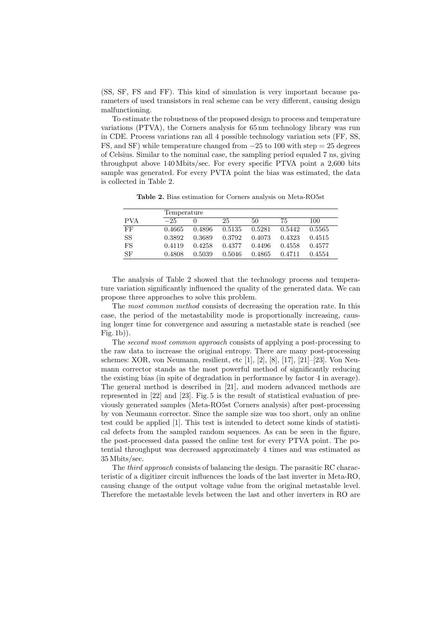(SS, SF, FS and FF). This kind of simulation is very important because parameters of used transistors in real scheme can be very different, causing design malfunctioning.

To estimate the robustness of the proposed design to process and temperature variations (PTVA), the Corners analysis for 65 nm technology library was run in CDE. Process variations ran all 4 possible technology variation sets (FF, SS, FS, and SF) while temperature changed from  $-25$  to 100 with step = 25 degrees of Celsius. Similar to the nominal case, the sampling period equaled 7 ns, giving throughput above 140 Mbits/sec. For every specific PTVA point a 2,600 bits sample was generated. For every PVTA point the bias was estimated, the data is collected in Table 2.

|            |        | Temperature |        |        |        |        |  |
|------------|--------|-------------|--------|--------|--------|--------|--|
| <b>PVA</b> | $-25$  |             | 25     | 50     | 75     | 100    |  |
| FF         | 0.4665 | 0.4896      | 0.5135 | 0.5281 | 0.5442 | 0.5565 |  |
| SS         | 0.3892 | 0.3689      | 0.3792 | 0.4073 | 0.4323 | 0.4515 |  |
| FS         | 0.4119 | 0.4258      | 0.4377 | 0.4496 | 0.4558 | 0.4577 |  |
| SF         | 0.4808 | 0.5039      | 0.5046 | 0.4865 | 0.4711 | 0.4554 |  |

Table 2. Bias estimation for Corners analysis on Meta-RO5st

The analysis of Table 2 showed that the technology process and temperature variation significantly influenced the quality of the generated data. We can propose three approaches to solve this problem.

The *most common method* consists of decreasing the operation rate. In this case, the period of the metastability mode is proportionally increasing, causing longer time for convergence and assuring a metastable state is reached (see Fig. 1b)).

The second most common approach consists of applying a post-processing to the raw data to increase the original entropy. There are many post-processing schemes: XOR, von Neumann, resilient, etc [1], [2], [8], [17], [21]–[23]. Von Neumann corrector stands as the most powerful method of significantly reducing the existing bias (in spite of degradation in performance by factor 4 in average). The general method is described in [21], and modern advanced methods are represented in [22] and [23]. Fig. 5 is the result of statistical evaluation of previously generated samples (Meta-RO5st Corners analysis) after post-processing by von Neumann corrector. Since the sample size was too short, only an online test could be applied [1]. This test is intended to detect some kinds of statistical defects from the sampled random sequences. As can be seen in the figure, the post-processed data passed the online test for every PTVA point. The potential throughput was decreased approximately 4 times and was estimated as 35 Mbits/sec.

The *third approach* consists of balancing the design. The parasitic RC characteristic of a digitizer circuit influences the loads of the last inverter in Meta-RO, causing change of the output voltage value from the original metastable level. Therefore the metastable levels between the last and other inverters in RO are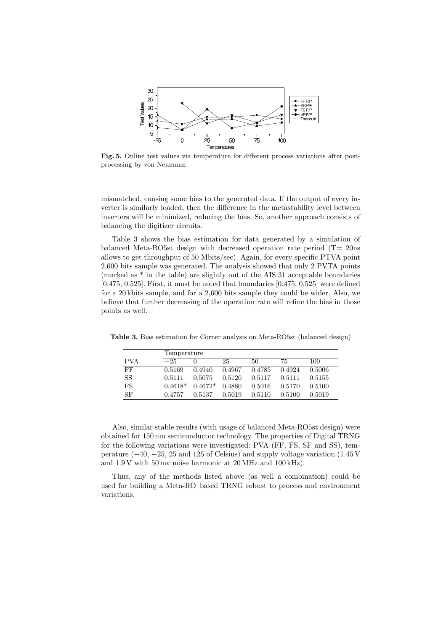

Fig. 5. Online test values via temperature for different process variations after postprocessing by von Neumann

mismatched, causing some bias to the generated data. If the output of every inverter is similarly loaded, then the difference in the metastability level between inverters will be minimized, reducing the bias. So, another approach consists of balancing the digitizer circuits.

Table 3 shows the bias estimation for data generated by a simulation of balanced Meta-RO5st design with decreased operation rate period (T= 20ns allows to get throughput of 50 Mbits/sec). Again, for every specific PTVA point 2,600 bits sample was generated. The analysis showed that only 2 PVTA points (marked as \* in the table) are slightly out of the AIS.31 acceptable boundaries [0.475, 0.525]. First, it must be noted that boundaries [0.475, 0.525] were defined for a 20 kbits sample, and for a 2,600 bits sample they could be wider. Also, we believe that further decreasing of the operation rate will refine the bias in those points as well.

|                          | Temperature |           |        |        |        |        |
|--------------------------|-------------|-----------|--------|--------|--------|--------|
| <b>PVA</b>               | $-25$       |           | 25     | 50     | 75     | 100    |
| $\overline{\mathrm{FF}}$ | 0.5169      | 0.4940    | 0.4967 | 0.4785 | 0.4924 | 0.5006 |
| <b>SS</b>                | 0.5111      | 0.5075    | 0.5120 | 0.5117 | 0.5111 | 0.5155 |
| <b>FS</b>                | $0.4618*$   | $0.4672*$ | 0.4880 | 0.5016 | 0.5170 | 0.5100 |
| <b>SF</b>                | 0.4757      | 0.5137    | 0.5019 | 0.5110 | 0.5100 | 0.5019 |

Table 3. Bias estimation for Corner analysis on Meta-RO5st (balanced design)

Also, similar stable results (with usage of balanced Meta-RO5st design) were obtained for 150 nm semiconductor technology. The properties of Digital TRNG for the following variations were investigated: PVA (FF, FS, SF and SS), temperature  $(-40, -25, 25, 25, 125)$  and 125 of Celsius) and supply voltage variation  $(1.45 \text{ V})$ and 1.9 V with 50 mv noise harmonic at 20 MHz and 100 kHz).

Thus, any of the methods listed above (as well a combination) could be used for building a Meta-RO–based TRNG robust to process and environment variations.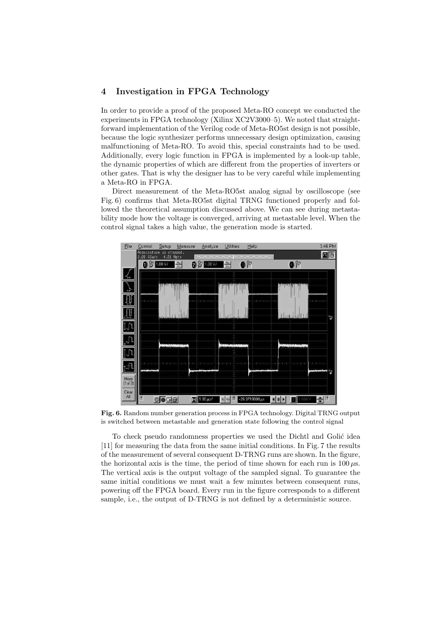## 4 Investigation in FPGA Technology

In order to provide a proof of the proposed Meta-RO concept we conducted the experiments in FPGA technology (Xilinx XC2V3000–5). We noted that straightforward implementation of the Verilog code of Meta-RO5st design is not possible, because the logic synthesizer performs unnecessary design optimization, causing malfunctioning of Meta-RO. To avoid this, special constraints had to be used. Additionally, every logic function in FPGA is implemented by a look-up table, the dynamic properties of which are different from the properties of inverters or other gates. That is why the designer has to be very careful while implementing a Meta-RO in FPGA.

Direct measurement of the Meta-RO5st analog signal by oscilloscope (see Fig. 6) confirms that Meta-RO5st digital TRNG functioned properly and followed the theoretical assumption discussed above. We can see during metastability mode how the voltage is converged, arriving at metastable level. When the control signal takes a high value, the generation mode is started.



Fig. 6. Random number generation process in FPGA technology. Digital TRNG output is switched between metastable and generation state following the control signal

To check pseudo randomness properties we used the Dichtl and Golić idea [11] for measuring the data from the same initial conditions. In Fig. 7 the results of the measurement of several consequent D-TRNG runs are shown. In the figure, the horizontal axis is the time, the period of time shown for each run is  $100 \mu s$ . The vertical axis is the output voltage of the sampled signal. To guarantee the same initial conditions we must wait a few minutes between consequent runs, powering off the FPGA board. Every run in the figure corresponds to a different sample, i.e., the output of D-TRNG is not defined by a deterministic source.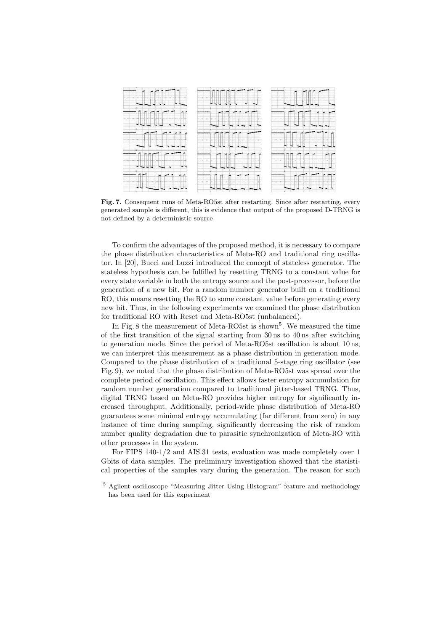

Fig. 7. Consequent runs of Meta-RO5st after restarting. Since after restarting, every generated sample is different, this is evidence that output of the proposed D-TRNG is not defined by a deterministic source

To confirm the advantages of the proposed method, it is necessary to compare the phase distribution characteristics of Meta-RO and traditional ring oscillator. In [20], Bucci and Luzzi introduced the concept of stateless generator. The stateless hypothesis can be fulfilled by resetting TRNG to a constant value for every state variable in both the entropy source and the post-processor, before the generation of a new bit. For a random number generator built on a traditional RO, this means resetting the RO to some constant value before generating every new bit. Thus, in the following experiments we examined the phase distribution for traditional RO with Reset and Meta-RO5st (unbalanced).

In Fig. 8 the measurement of Meta-RO5st is shown<sup>5</sup>. We measured the time of the first transition of the signal starting from 30 ns to 40 ns after switching to generation mode. Since the period of Meta-RO5st oscillation is about 10 ns, we can interpret this measurement as a phase distribution in generation mode. Compared to the phase distribution of a traditional 5-stage ring oscillator (see Fig. 9), we noted that the phase distribution of Meta-RO5st was spread over the complete period of oscillation. This effect allows faster entropy accumulation for random number generation compared to traditional jitter-based TRNG. Thus, digital TRNG based on Meta-RO provides higher entropy for significantly increased throughput. Additionally, period-wide phase distribution of Meta-RO guarantees some minimal entropy accumulating (far different from zero) in any instance of time during sampling, significantly decreasing the risk of random number quality degradation due to parasitic synchronization of Meta-RO with other processes in the system.

For FIPS 140-1/2 and AIS.31 tests, evaluation was made completely over 1 Gbits of data samples. The preliminary investigation showed that the statistical properties of the samples vary during the generation. The reason for such

<sup>5</sup> Agilent oscilloscope "Measuring Jitter Using Histogram" feature and methodology has been used for this experiment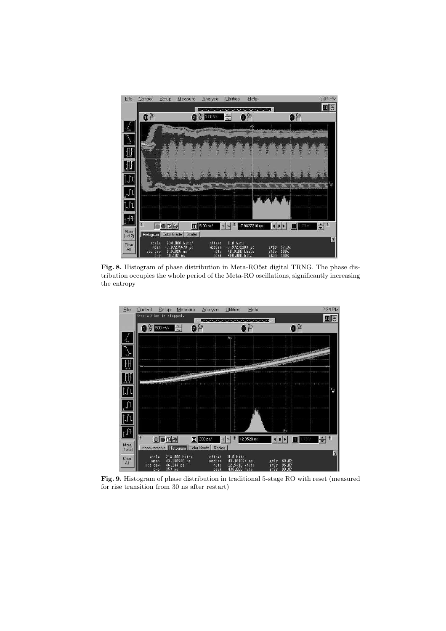

Fig. 8. Histogram of phase distribution in Meta-RO5st digital TRNG. The phase distribution occupies the whole period of the Meta-RO oscillations, significantly increasing the entropy



Fig. 9. Histogram of phase distribution in traditional 5-stage RO with reset (measured for rise transition from 30 ns after restart)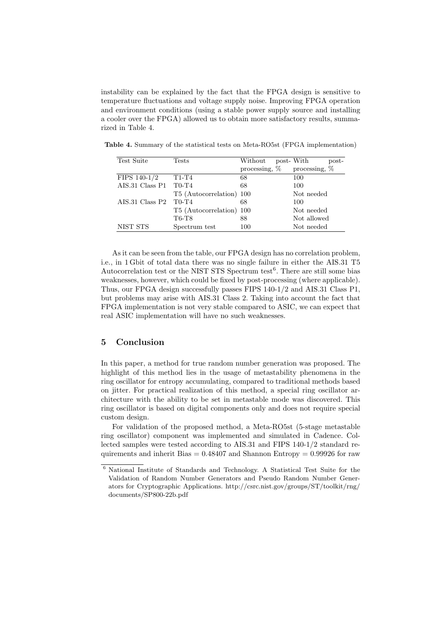instability can be explained by the fact that the FPGA design is sensitive to temperature fluctuations and voltage supply noise. Improving FPGA operation and environment conditions (using a stable power supply source and installing a cooler over the FPGA) allowed us to obtain more satisfactory results, summarized in Table 4.

| Test Suite      | <b>Tests</b>                   | Without | post-With                         | post- |
|-----------------|--------------------------------|---------|-----------------------------------|-------|
|                 |                                |         | processing, $\%$ processing, $\%$ |       |
| FIPS 140-1/2    | $T1-T4$                        | 68      | 100                               |       |
| AIS.31 Class P1 | $T0-T4$                        | 68      | 100                               |       |
|                 | T5 (Autocorrelation) 100       |         | Not needed                        |       |
| AIS.31 Class P2 | T <sub>0</sub> -T <sub>4</sub> | 68      | 100                               |       |
|                 | T5 (Autocorrelation) 100       |         | Not needed                        |       |
|                 | T6-T8                          | 88      | Not allowed                       |       |
| NIST STS        | Spectrum test                  | 100     | Not needed                        |       |

Table 4. Summary of the statistical tests on Meta-RO5st (FPGA implementation)

As it can be seen from the table, our FPGA design has no correlation problem, i.e., in 1 Gbit of total data there was no single failure in either the AIS.31 T5 Autocorrelation test or the NIST STS Spectrum test<sup>6</sup>. There are still some bias weaknesses, however, which could be fixed by post-processing (where applicable). Thus, our FPGA design successfully passes FIPS 140-1/2 and AIS.31 Class P1, but problems may arise with AIS.31 Class 2. Taking into account the fact that FPGA implementation is not very stable compared to ASIC, we can expect that real ASIC implementation will have no such weaknesses.

## 5 Conclusion

In this paper, a method for true random number generation was proposed. The highlight of this method lies in the usage of metastability phenomena in the ring oscillator for entropy accumulating, compared to traditional methods based on jitter. For practical realization of this method, a special ring oscillator architecture with the ability to be set in metastable mode was discovered. This ring oscillator is based on digital components only and does not require special custom design.

For validation of the proposed method, a Meta-RO5st (5-stage metastable ring oscillator) component was implemented and simulated in Cadence. Collected samples were tested according to AIS.31 and FIPS 140-1/2 standard requirements and inherit Bias  $= 0.48407$  and Shannon Entropy  $= 0.99926$  for raw

<sup>6</sup> National Institute of Standards and Technology. A Statistical Test Suite for the Validation of Random Number Generators and Pseudo Random Number Generators for Cryptographic Applications. http://csrc.nist.gov/groups/ST/toolkit/rng/ documents/SP800-22b.pdf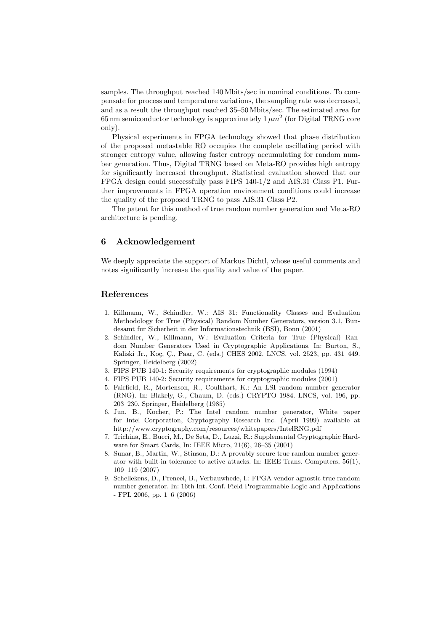samples. The throughput reached 140 Mbits/sec in nominal conditions. To compensate for process and temperature variations, the sampling rate was decreased, and as a result the throughput reached 35–50 Mbits/sec. The estimated area for 65 nm semiconductor technology is approximately  $1 \mu m^2$  (for Digital TRNG core only).

Physical experiments in FPGA technology showed that phase distribution of the proposed metastable RO occupies the complete oscillating period with stronger entropy value, allowing faster entropy accumulating for random number generation. Thus, Digital TRNG based on Meta-RO provides high entropy for significantly increased throughput. Statistical evaluation showed that our FPGA design could successfully pass FIPS 140-1/2 and AIS.31 Class P1. Further improvements in FPGA operation environment conditions could increase the quality of the proposed TRNG to pass AIS.31 Class P2.

The patent for this method of true random number generation and Meta-RO architecture is pending.

## 6 Acknowledgement

We deeply appreciate the support of Markus Dichtl, whose useful comments and notes significantly increase the quality and value of the paper.

## References

- 1. Killmann, W., Schindler, W.: AIS 31: Functionality Classes and Evaluation Methodology for True (Physical) Random Number Generators, version 3.1, Bundesamt fur Sicherheit in der Informationstechnik (BSI), Bonn (2001)
- 2. Schindler, W., Killmann, W.: Evaluation Criteria for True (Physical) Random Number Generators Used in Cryptographic Applications. In: Burton, S., Kaliski Jr., Koç, Ç., Paar, C. (eds.) CHES 2002. LNCS, vol. 2523, pp. 431-449. Springer, Heidelberg (2002)
- 3. FIPS PUB 140-1: Security requirements for cryptographic modules (1994)
- 4. FIPS PUB 140-2: Security requirements for cryptographic modules (2001)
- 5. Fairfield, R., Mortenson, R., Coulthart, K.: An LSI random number generator (RNG). In: Blakely, G., Chaum, D. (eds.) CRYPTO 1984. LNCS, vol. 196, pp. 203–230. Springer, Heidelberg (1985)
- 6. Jun, B., Kocher, P.: The Intel random number generator, White paper for Intel Corporation, Cryptography Research Inc. (April 1999) available at http://www.cryptography.com/resources/whitepapers/IntelRNG.pdf
- 7. Trichina, E., Bucci, M., De Seta, D., Luzzi, R.: Supplemental Cryptographic Hardware for Smart Cards, In: IEEE Micro, 21(6), 26–35 (2001)
- 8. Sunar, B., Martin, W., Stinson, D.: A provably secure true random number generator with built-in tolerance to active attacks. In: IEEE Trans. Computers, 56(1), 109–119 (2007)
- 9. Schellekens, D., Preneel, B., Verbauwhede, I.: FPGA vendor agnostic true random number generator. In: 16th Int. Conf. Field Programmable Logic and Applications - FPL 2006, pp. 1–6 (2006)